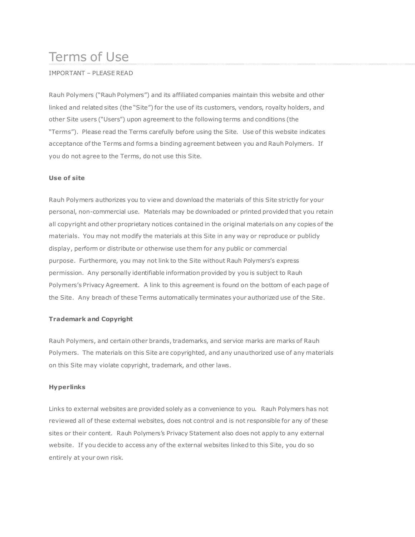# Terms of Use

# IMPORTANT – PLEASE READ

Rauh Polymers ("Rauh Polymers") and its affiliated companies maintain this website and other linked and related sites (the "Site") for the use of its customers, vendors, royalty holders, and other Site users ("Users") upon agreement to the following terms and conditions (the "Terms"). Please read the Terms carefully before using the Site. Use of this website indicates acceptance of the Terms and forms a binding agreement between you and Rauh Polymers. If you do not agree to the Terms, do not use this Site.

## **Use of site**

Rauh Polymers authorizes you to view and download the materials of this Site strictly for your personal, non-commercial use. Materials may be downloaded or printed provided that you retain all copyright and other proprietary notices contained in the original materials on any copies of the materials. You may not modify the materials at this Site in any way or reproduce or publicly display, perform or distribute or otherwise use them for any public or commercial purpose. Furthermore, you may not link to the Site without Rauh Polymers's express permission. Any personally identifiable information provided by you is subject to Rauh Polymers's Privacy Agreement. A link to this agreement is found on the bottom of each page of the Site. Any breach of these Terms automatically terminates your authorized use of the Site.

## **Trademark and Copyright**

Rauh Polymers, and certain other brands, trademarks, and service marks are marks of Rauh Polymers. The materials on this Site are copyrighted, and any unauthorized use of any materials on this Site may violate copyright, trademark, and other laws.

## **Hyperlinks**

Links to external websites are provided solely as a convenience to you. Rauh Polymers has not reviewed all of these external websites, does not control and is not responsible for any of these sites or their content. Rauh Polymers's Privacy Statement also does not apply to any external website. If you decide to access any of the external websites linked to this Site, you do so entirely at your own risk.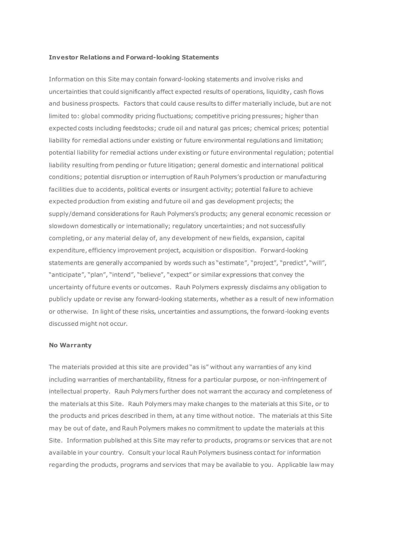#### **Investor Relations and Forward-looking Statements**

Information on this Site may contain forward-looking statements and involve risks and uncertainties that could significantly affect expected results of operations, liquidity, cash flows and business prospects. Factors that could cause results to differ materially include, but are not limited to: global commodity pricing fluctuations; competitive pricing pressures; higher than expected costs including feedstocks; crude oil and natural gas prices; chemical prices; potential liability for remedial actions under existing or future environmental regulations and limitation; potential liability for remedial actions under existing or future environmental regulation; potential liability resulting from pending or future litigation; general domestic and international political conditions; potential disruption or interruption of Rauh Polymers's production or manufacturing facilities due to accidents, political events or insurgent activity; potential failure to achieve expected production from existing and future oil and gas development projects; the supply/demand considerations for Rauh Polymers's products; any general economic recession or slowdown domestically or internationally; regulatory uncertainties; and not successfully completing, or any material delay of, any development of new fields, expansion, capital expenditure, efficiency improvement project, acquisition or disposition. Forward-looking statements are generally accompanied by words such as "estimate", "project", "predict", "will", "anticipate", "plan", "intend", "believe", "expect" or similar expressions that convey the uncertainty of future events or outcomes. Rauh Polymers expressly disclaims any obligation to publicly update or revise any forward-looking statements, whether as a result of new information or otherwise. In light of these risks, uncertainties and assumptions, the forward-looking events discussed might not occur.

#### **No Warranty**

The materials provided at this site are provided "as is" without any warranties of any kind including warranties of merchantability, fitness for a particular purpose, or non-infringement of intellectual property. Rauh Polymers further does not warrant the accuracy and completeness of the materials at this Site. Rauh Polymers may make changes to the materials at this Site, or to the products and prices described in them, at any time without notice. The materials at this Site may be out of date, and Rauh Polymers makes no commitment to update the materials at this Site. Information published at this Site may refer to products, programs or services that are not available in your country. Consult your local Rauh Polymers business contact for information regarding the products, programs and services that may be available to you. Applicable law may